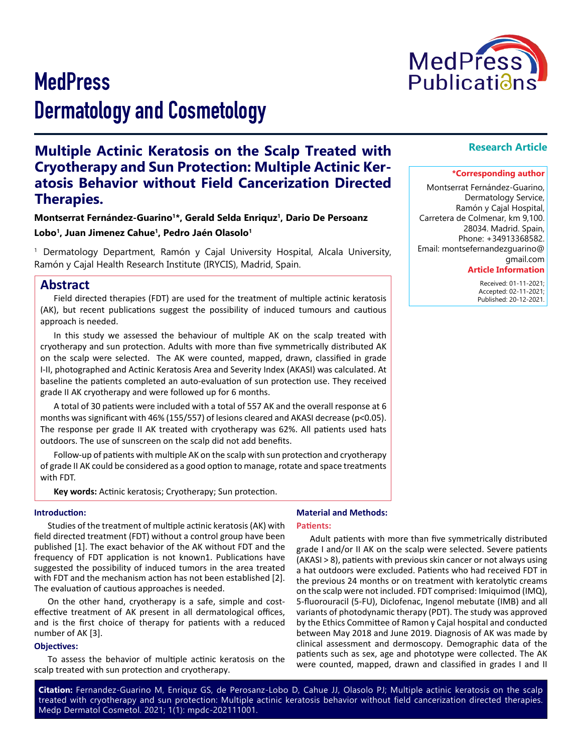



# **Multiple Actinic Keratosis on the Scalp Treated with Cryotherapy and Sun Protection: Multiple Actinic Keratosis Behavior without Field Cancerization Directed Therapies.**

**Montserrat Fernández-Guarino1\*, Gerald Selda Enriquz1, Dario De Persoanz Lobo1, Juan Jimenez Cahue1, Pedro Jaén Olasolo1**

1 Dermatology Department, Ramón y Cajal University Hospital, Alcala University, Ramón y Cajal Health Research Institute (IRYCIS), Madrid, Spain.

# **Abstract**

Field directed therapies (FDT) are used for the treatment of multiple actinic keratosis (AK), but recent publications suggest the possibility of induced tumours and cautious approach is needed.

In this study we assessed the behaviour of multiple AK on the scalp treated with cryotherapy and sun protection. Adults with more than five symmetrically distributed AK on the scalp were selected. The AK were counted, mapped, drawn, classified in grade I-II, photographed and Actinic Keratosis Area and Severity Index (AKASI) was calculated. At baseline the patients completed an auto-evaluation of sun protection use. They received grade II AK cryotherapy and were followed up for 6 months.

A total of 30 patients were included with a total of 557 AK and the overall response at 6 months was significant with 46% (155/557) of lesions cleared and AKASI decrease (p<0.05). The response per grade II AK treated with cryotherapy was 62%. All patients used hats outdoors. The use of sunscreen on the scalp did not add benefits.

Follow-up of patients with multiple AK on the scalp with sun protection and cryotherapy of grade II AK could be considered as a good option to manage, rotate and space treatments with FDT.

**Key words:** Actinic keratosis; Cryotherapy; Sun protection.

#### **Introduction:**

Studies of the treatment of multiple actinic keratosis (AK) with field directed treatment (FDT) without a control group have been published [1]. The exact behavior of the AK without FDT and the frequency of FDT application is not known1. Publications have suggested the possibility of induced tumors in the area treated with FDT and the mechanism action has not been established [2]. The evaluation of cautious approaches is needed.

On the other hand, cryotherapy is a safe, simple and costeffective treatment of AK present in all dermatological offices, and is the first choice of therapy for patients with a reduced number of AK [3].

#### **Objectives:**

To assess the behavior of multiple actinic keratosis on the scalp treated with sun protection and cryotherapy.

#### **Material and Methods:**

#### **Patients:**

Adult patients with more than five symmetrically distributed grade I and/or II AK on the scalp were selected. Severe patients (AKASI > 8), patients with previous skin cancer or not always using a hat outdoors were excluded. Patients who had received FDT in the previous 24 months or on treatment with keratolytic creams on the scalp were not included. FDT comprised: Imiquimod (IMQ), 5-fluorouracil (5-FU), Diclofenac, Ingenol mebutate (IMB) and all variants of photodynamic therapy (PDT). The study was approved by the Ethics Committee of Ramon y Cajal hospital and conducted between May 2018 and June 2019. Diagnosis of AK was made by clinical assessment and dermoscopy. Demographic data of the patients such as sex, age and phototype were collected. The AK were counted, mapped, drawn and classified in grades I and II

**Citation:** Fernandez-Guarino M, Enriquz GS, de Perosanz-Lobo D, Cahue JJ, Olasolo PJ; Multiple actinic keratosis on the scalp treated with cryotherapy and sun protection: Multiple actinic keratosis behavior without field cancerization directed therapies. Medp Dermatol Cosmetol. 2021; 1(1): mpdc-202111001.

### **Research Article**

#### **\*Corresponding author**

Montserrat Fernández-Guarino, Dermatology Service, Ramón y Cajal Hospital, Carretera de Colmenar, km 9,100. 28034. Madrid. Spain, Phone: +34913368582. Email: montsefernandezguarino@ gmail.com

#### **Article Information**

 Received: 01-11-2021; Accepted: 02-11-2021; Published: 20-12-2021.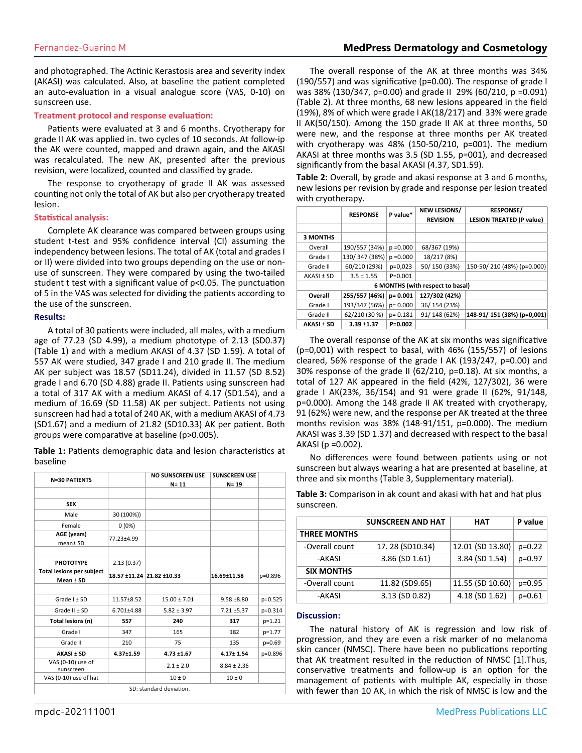and photographed. The Actinic Kerastosis area and severity index (AKASI) was calculated. Also, at baseline the patient completed an auto-evaluation in a visual analogue score (VAS, 0-10) on sunscreen use.

### **Treatment protocol and response evaluation:**

Patients were evaluated at 3 and 6 months. Cryotherapy for grade II AK was applied in. two cycles of 10 seconds. At follow-ip the AK were counted, mapped and drawn again, and the AKASI was recalculated. The new AK, presented after the previous revision, were localized, counted and classified by grade.

The response to cryotherapy of grade II AK was assessed counting not only the total of AK but also per cryotherapy treated lesion.

#### **Statistical analysis:**

Complete AK clearance was compared between groups using student t-test and 95% confidence interval (CI) assuming the independency between lesions. The total of AK (total and grades I or II) were divided into two groups depending on the use or nonuse of sunscreen. They were compared by using the two-tailed student t test with a significant value of p<0.05. The punctuation of 5 in the VAS was selected for dividing the patients according to the use of the sunscreen.

### **Results:**

A total of 30 patients were included, all males, with a medium age of 77.23 (SD 4.99), a medium phototype of 2.13 (SD0.37) (Table 1) and with a medium AKASI of 4.37 (SD 1.59). A total of 557 AK were studied, 347 grade I and 210 grade II. The medium AK per subject was 18.57 (SD11.24), divided in 11.57 (SD 8.52) grade I and 6.70 (SD 4.88) grade II. Patients using sunscreen had a total of 317 AK with a medium AKASI of 4.17 (SD1.54), and a medium of 16.69 (SD 11.58) AK per subject. Patients not using sunscreen had had a total of 240 AK, with a medium AKASI of 4.73 (SD1.67) and a medium of 21.82 (SD10.33) AK per patient. Both groups were comparative at baseline (p>0.005).

**Table 1:** Patients demographic data and lesion characteristics at baseline

|                                                   |                 | <b>NO SUNSCREEN USE</b>   | <b>SUNSCREEN USE</b> |          |
|---------------------------------------------------|-----------------|---------------------------|----------------------|----------|
| <b>N=30 PATIENTS</b>                              |                 | $N = 11$                  | $N = 19$             |          |
|                                                   |                 |                           |                      |          |
| <b>SEX</b>                                        |                 |                           |                      |          |
| Male                                              | 30 (100%))      |                           |                      |          |
| Female                                            | $0(0\%)$        |                           |                      |          |
| AGE (years)<br>mean± SD                           | 77.23±4.99      |                           |                      |          |
|                                                   |                 |                           |                      |          |
| <b>PHOTOTYPE</b>                                  | 2.13(0.37)      |                           |                      |          |
| <b>Total lesions per subject</b><br>Mean $\pm$ SD |                 | 18.57 ±11.24 21.82 ±10.33 | $16.69 \pm 11.58$    | p=0.896  |
|                                                   |                 |                           |                      |          |
| $Grade$ $I \pm SD$                                | 11.57±8.52      | $15.00 \pm 7.01$          | $9.58 + 8.80$        | p=0.525  |
| Grade II ± SD                                     | 6.701±4.88      | $5.82 \pm 3.97$           | $7.21 \pm 5.37$      | p=0.314  |
| Total lesions (n)                                 | 557             | 240                       | 317                  | $p=1.21$ |
| Grade I                                           | 347             | 165                       | 182                  | p=1.77   |
| Grade II                                          | 210             | 75                        | 135                  | $p=0.69$ |
| $AKASI \pm SD$                                    | $4.37 \pm 1.59$ | $4.73 + 1.67$             | $4.17 \pm 1.54$      | p=0.896  |
| VAS (0-10) use of<br>sunscreen                    |                 | $2.1 \pm 2.0$             | $8.84 \pm 2.36$      |          |
| VAS (0-10) use of hat                             |                 | $10 + 0$                  | $10 \pm 0$           |          |
|                                                   |                 | SD: standard deviation.   |                      |          |

The overall response of the AK at three months was 34% (190/557) and was significative (p=0.00). The response of grade I was 38% (130/347, p=0.00) and grade II 29% (60/210, p =0.091) (Table 2). At three months, 68 new lesions appeared in the field (19%), 8% of which were grade I AK(18/217) and 33% were grade II AK(50/150). Among the 150 grade II AK at three months, 50 were new, and the response at three months per AK treated with cryotherapy was 48% (150-50/210, p=001). The medium AKASI at three months was 3.5 (SD 1.55, p=001), and decreased significantly from the basal AKASI (4.37, SD1.59).

**Table 2:** Overall, by grade and akasi response at 3 and 6 months, new lesions per revision by grade and response per lesion treated with cryotherapy.

|                                  | <b>RESPONSE</b> | P value*    | <b>NEW LESIONS/</b> | <b>RESPONSE/</b>                |  |  |  |
|----------------------------------|-----------------|-------------|---------------------|---------------------------------|--|--|--|
|                                  |                 |             | <b>REVISION</b>     | <b>LESION TREATED (P value)</b> |  |  |  |
|                                  |                 |             |                     |                                 |  |  |  |
| <b>3 MONTHS</b>                  |                 |             |                     |                                 |  |  |  |
| Overall                          | 190/557 (34%)   | $p = 0.000$ | 68/367 (19%)        |                                 |  |  |  |
| Grade I                          | 130/347 (38%)   | $p = 0.000$ | 18/217 (8%)         |                                 |  |  |  |
| Grade II                         | 60/210 (29%)    | $p=0,023$   | 50/150 (33%)        | 150-50/210 (48%) (p=0.000)      |  |  |  |
| AKASI ± SD                       | $3.5 \pm 1.55$  | $P = 0.001$ |                     |                                 |  |  |  |
| 6 MONTHS (with respect to basal) |                 |             |                     |                                 |  |  |  |
| Overall                          | 255/557 (46%)   | $p = 0.001$ | 127/302 (42%)       |                                 |  |  |  |
| Grade I                          | 193/347 (56%)   | $p = 0.000$ | 36/154 (23%)        |                                 |  |  |  |
| Grade II                         | 62/210 (30 %)   | $p = 0.181$ | 91/148 (62%)        | 148-91/151 (38%) (p=0,001)      |  |  |  |
| <b>AKASI ± SD</b>                | $3.39 + 1.37$   | $P=0.002$   |                     |                                 |  |  |  |

The overall response of the AK at six months was significative (p=0,001) with respect to basal, with 46% (155/557) of lesions cleared, 56% response of the grade I AK (193/247, p=0.00) and 30% response of the grade II (62/210, p=0.18). At six months, a total of 127 AK appeared in the field (42%, 127/302), 36 were grade I AK(23%, 36/154) and 91 were grade II (62%, 91/148, p=0.000). Among the 148 grade II AK treated with cryotherapy, 91 (62%) were new, and the response per AK treated at the three months revision was 38% (148-91/151, p=0.000). The medium AKASI was 3.39 (SD 1.37) and decreased with respect to the basal AKASI (p =0.002).

No differences were found between patients using or not sunscreen but always wearing a hat are presented at baseline, at three and six months (Table 3, Supplementary material).

**Table 3:** Comparison in ak count and akasi with hat and hat plus sunscreen.

|                     | <b>SUNSCREEN AND HAT</b> | НАТ              | P value    |
|---------------------|--------------------------|------------------|------------|
| <b>THREE MONTHS</b> |                          |                  |            |
| -Overall count      | 17.28 (SD10.34)          | 12.01 (SD 13.80) | $p=0.22$   |
| -AKASI              | 3.86 (SD 1.61)           | 3.84 (SD 1.54)   | $p=0.97$   |
| <b>SIX MONTHS</b>   |                          |                  |            |
| -Overall count      | 11.82 (SD9.65)           | 11.55 (SD 10.60) | $p=0.95$   |
| -AKASI              | 3.13 (SD 0.82)           | 4.18 (SD 1.62)   | $p = 0.61$ |

#### **Discussion:**

The natural history of AK is regression and low risk of progression, and they are even a risk marker of no melanoma skin cancer (NMSC). There have been no publications reporting that AK treatment resulted in the reduction of NMSC [1].Thus, conservative treatments and follow-up is an option for the management of patients with multiple AK, especially in those with fewer than 10 AK, in which the risk of NMSC is low and the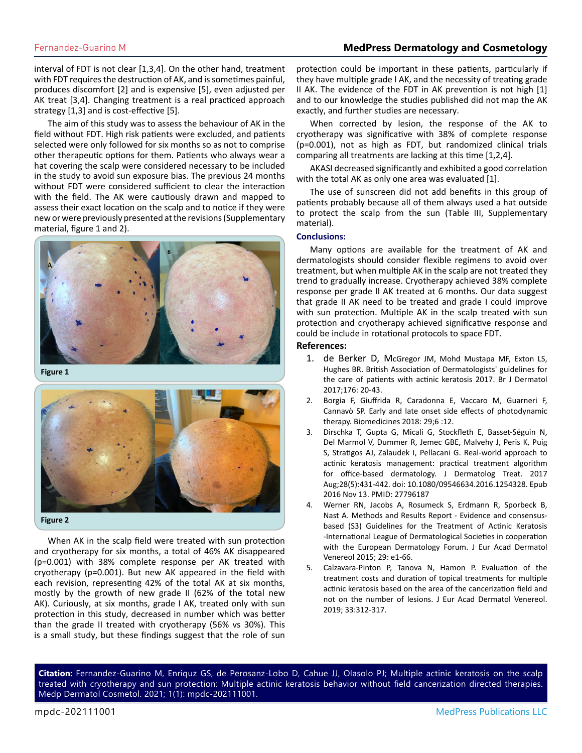## Fernandez-Guarino M **MedPress Dermatology and Cosmetology**

interval of FDT is not clear [1,3,4]. On the other hand, treatment with FDT requires the destruction of AK, and is sometimes painful, produces discomfort [2] and is expensive [5], even adjusted per AK treat [3,4]. Changing treatment is a real practiced approach strategy [1,3] and is cost-effective [5].

The aim of this study was to assess the behaviour of AK in the field without FDT. High risk patients were excluded, and patients selected were only followed for six months so as not to comprise other therapeutic options for them. Patients who always wear a hat covering the scalp were considered necessary to be included in the study to avoid sun exposure bias. The previous 24 months without FDT were considered sufficient to clear the interaction with the field. The AK were cautiously drawn and mapped to assess their exact location on the scalp and to notice if they were new or were previously presented at the revisions (Supplementary material, figure 1 and 2).



**Figure 1**



When AK in the scalp field were treated with sun protection and cryotherapy for six months, a total of 46% AK disappeared (p=0.001) with 38% complete response per AK treated with cryotherapy (p=0.001). But new AK appeared in the field with each revision, representing 42% of the total AK at six months, mostly by the growth of new grade II (62% of the total new AK). Curiously, at six months, grade I AK, treated only with sun protection in this study, decreased in number which was better than the grade II treated with cryotherapy (56% vs 30%). This is a small study, but these findings suggest that the role of sun

protection could be important in these patients, particularly if they have multiple grade I AK, and the necessity of treating grade II AK. The evidence of the FDT in AK prevention is not high [1] and to our knowledge the studies published did not map the AK exactly, and further studies are necessary.

When corrected by lesion, the response of the AK to cryotherapy was significative with 38% of complete response (p=0.001), not as high as FDT, but randomized clinical trials comparing all treatments are lacking at this time [1,2,4].

AKASI decreased significantly and exhibited a good correlation with the total AK as only one area was evaluated [1].

The use of sunscreen did not add benefits in this group of patients probably because all of them always used a hat outside to protect the scalp from the sun (Table III, Supplementary material).

#### **Conclusions:**

Many options are available for the treatment of AK and dermatologists should consider flexible regimens to avoid over treatment, but when multiple AK in the scalp are not treated they trend to gradually increase. Cryotherapy achieved 38% complete response per grade II AK treated at 6 months. Our data suggest that grade II AK need to be treated and grade I could improve with sun protection. Multiple AK in the scalp treated with sun protection and cryotherapy achieved significative response and could be include in rotational protocols to space FDT.

### **References:**

- 1. [de Berker D, McGregor JM, Mohd Mustapa MF, Exton LS,](https://pubmed.ncbi.nlm.nih.gov/28098380/)  [Hughes BR. British Association of Dermatologists' guidelines for](https://pubmed.ncbi.nlm.nih.gov/28098380/) [the care of patients with actinic keratosis 2017. Br J Dermatol](https://pubmed.ncbi.nlm.nih.gov/28098380/)  [2017;176: 20-43.](https://pubmed.ncbi.nlm.nih.gov/28098380/)
- 2. [Borgia F, Giuffrida R, Caradonna E, Vaccaro M, Guarneri F,](https://pubmed.ncbi.nlm.nih.gov/29382133/) [Cannavò SP. Early and late onset side effects of photodynamic](https://pubmed.ncbi.nlm.nih.gov/29382133/)  [therapy. Biomedicines 2018: 29;6 :12.](https://pubmed.ncbi.nlm.nih.gov/29382133/)
- 3. [Dirschka T, Gupta G, Micali G, Stockfleth E, Basset-Séguin N,](https://pubmed.ncbi.nlm.nih.gov/27796187/) [Del Marmol V, Dummer R, Jemec GBE, Malvehy J, Peris K, Puig](https://pubmed.ncbi.nlm.nih.gov/27796187/) [S, Stratigos AJ, Zalaudek I, Pellacani G. Real-world approach to](https://pubmed.ncbi.nlm.nih.gov/27796187/)  [actinic keratosis management: practical treatment algorithm](https://pubmed.ncbi.nlm.nih.gov/27796187/)  [for office-based dermatology. J Dermatolog Treat. 2017](https://pubmed.ncbi.nlm.nih.gov/27796187/) [Aug;28\(5\):431-442. doi: 10.1080/09546634.2016.1254328. Epub](https://pubmed.ncbi.nlm.nih.gov/27796187/)  [2016 Nov 13. PMID: 27796187](https://pubmed.ncbi.nlm.nih.gov/27796187/)
- 4. [Werner RN, Jacobs A, Rosumeck S, Erdmann R, Sporbeck B,](https://pubmed.ncbi.nlm.nih.gov/26350885/) [Nast A. Methods and Results Report - Evidence and consensus](https://pubmed.ncbi.nlm.nih.gov/26350885/)[based \(S3\) Guidelines for the Treatment of Actinic Keratosis](https://pubmed.ncbi.nlm.nih.gov/26350885/)  [-International League of Dermatological Societies in cooperation](https://pubmed.ncbi.nlm.nih.gov/26350885/)  [with the European Dermatology Forum. J Eur Acad Dermatol](https://pubmed.ncbi.nlm.nih.gov/26350885/)  [Venereol 2015; 29: e1-66.](https://pubmed.ncbi.nlm.nih.gov/26350885/)
- 5. [Calzavara-Pinton P, Tanova N, Hamon P. Evaluation of the](https://pubmed.ncbi.nlm.nih.gov/30288788/) [treatment costs and duration of topical treatments for multiple](https://pubmed.ncbi.nlm.nih.gov/30288788/)  [actinic keratosis based on the area of the cancerization field and](https://pubmed.ncbi.nlm.nih.gov/30288788/)  [not on the number of lesions. J Eur Acad Dermatol Venereol.](https://pubmed.ncbi.nlm.nih.gov/30288788/)  [2019; 33:312-317.](https://pubmed.ncbi.nlm.nih.gov/30288788/)

**Citation:** Fernandez-Guarino M, Enriquz GS, de Perosanz-Lobo D, Cahue JJ, Olasolo PJ; Multiple actinic keratosis on the scalp treated with cryotherapy and sun protection: Multiple actinic keratosis behavior without field cancerization directed therapies. Medp Dermatol Cosmetol. 2021; 1(1): mpdc-202111001.